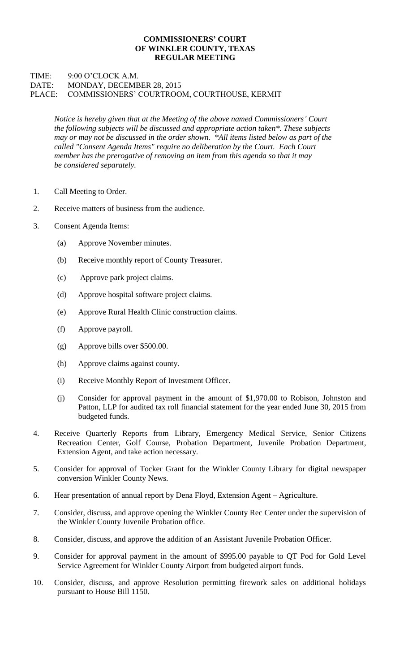## **COMMISSIONERS' COURT OF WINKLER COUNTY, TEXAS REGULAR MEETING**

## TIME: 9:00 O'CLOCK A.M. DATE: MONDAY, DECEMBER 28, 2015 PLACE: COMMISSIONERS' COURTROOM, COURTHOUSE, KERMIT

*Notice is hereby given that at the Meeting of the above named Commissioners' Court the following subjects will be discussed and appropriate action taken\*. These subjects may or may not be discussed in the order shown. \*All items listed below as part of the called "Consent Agenda Items" require no deliberation by the Court. Each Court member has the prerogative of removing an item from this agenda so that it may be considered separately.*

- 1. Call Meeting to Order.
- 2. Receive matters of business from the audience.
- 3. Consent Agenda Items:
	- (a) Approve November minutes.
	- (b) Receive monthly report of County Treasurer.
	- (c) Approve park project claims.
	- (d) Approve hospital software project claims.
	- (e) Approve Rural Health Clinic construction claims.
	- (f) Approve payroll.
	- (g) Approve bills over \$500.00.
	- (h) Approve claims against county.
	- (i) Receive Monthly Report of Investment Officer.
	- (j) Consider for approval payment in the amount of \$1,970.00 to Robison, Johnston and Patton, LLP for audited tax roll financial statement for the year ended June 30, 2015 from budgeted funds.
- 4. Receive Quarterly Reports from Library, Emergency Medical Service, Senior Citizens Recreation Center, Golf Course, Probation Department, Juvenile Probation Department, Extension Agent, and take action necessary.
- 5. Consider for approval of Tocker Grant for the Winkler County Library for digital newspaper conversion Winkler County News.
- 6. Hear presentation of annual report by Dena Floyd, Extension Agent Agriculture.
- 7. Consider, discuss, and approve opening the Winkler County Rec Center under the supervision of the Winkler County Juvenile Probation office.
- 8. Consider, discuss, and approve the addition of an Assistant Juvenile Probation Officer.
- 9. Consider for approval payment in the amount of \$995.00 payable to QT Pod for Gold Level Service Agreement for Winkler County Airport from budgeted airport funds.
- 10. Consider, discuss, and approve Resolution permitting firework sales on additional holidays pursuant to House Bill 1150.